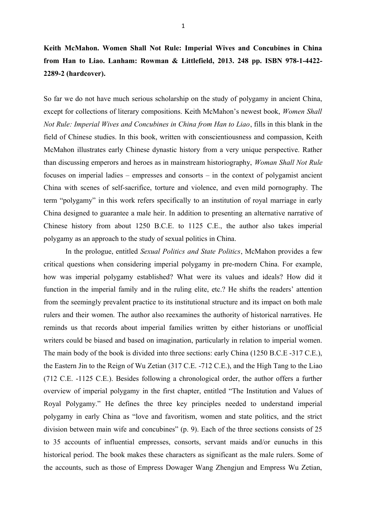## **Keith McMahon. Women Shall Not Rule: Imperial Wives and Concubines in China from Han to Liao. Lanham: Rowman & Littlefield, 2013. 248 pp. ISBN 978-1-4422- 2289-2 (hardcover).**

So far we do not have much serious scholarship on the study of polygamy in ancient China, except for collections of literary compositions. Keith McMahon's newest book, *Women Shall Not Rule: Imperial Wives and Concubines in China from Han to Liao*, fills in this blank in the field of Chinese studies. In this book, written with conscientiousness and compassion, Keith McMahon illustrates early Chinese dynastic history from a very unique perspective. Rather than discussing emperors and heroes as in mainstream historiography, *Woman Shall Not Rule* focuses on imperial ladies – empresses and consorts – in the context of polygamist ancient China with scenes of self-sacrifice, torture and violence, and even mild pornography. The term "polygamy" in this work refers specifically to an institution of royal marriage in early China designed to guarantee a male heir. In addition to presenting an alternative narrative of Chinese history from about 1250 B.C.E. to 1125 C.E., the author also takes imperial polygamy as an approach to the study of sexual politics in China.

In the prologue, entitled *Sexual Politics and State Politics*, McMahon provides a few critical questions when considering imperial polygamy in pre-modern China. For example, how was imperial polygamy established? What were its values and ideals? How did it function in the imperial family and in the ruling elite, etc.? He shifts the readers' attention from the seemingly prevalent practice to its institutional structure and its impact on both male rulers and their women. The author also reexamines the authority of historical narratives. He reminds us that records about imperial families written by either historians or unofficial writers could be biased and based on imagination, particularly in relation to imperial women. The main body of the book is divided into three sections: early China (1250 B.C.E -317 C.E.), the Eastern Jin to the Reign of Wu Zetian (317 C.E. -712 C.E.), and the High Tang to the Liao (712 C.E. -1125 C.E.). Besides following a chronological order, the author offers a further overview of imperial polygamy in the first chapter, entitled "The Institution and Values of Royal Polygamy." He defines the three key principles needed to understand imperial polygamy in early China as "love and favoritism, women and state politics, and the strict division between main wife and concubines" (p. 9). Each of the three sections consists of 25 to 35 accounts of influential empresses, consorts, servant maids and/or eunuchs in this historical period. The book makes these characters as significant as the male rulers. Some of the accounts, such as those of Empress Dowager Wang Zhengjun and Empress Wu Zetian,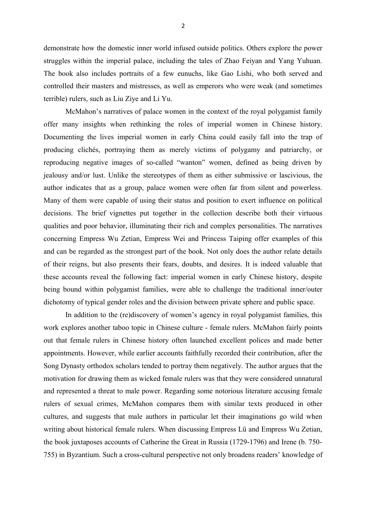demonstrate how the domestic inner world infused outside politics. Others explore the power struggles within the imperial palace, including the tales of Zhao Feiyan and Yang Yuhuan. The book also includes portraits of a few eunuchs, like Gao Lishi, who both served and controlled their masters and mistresses, as well as emperors who were weak (and sometimes terrible) rulers, such as Liu Ziye and Li Yu.

McMahon's narratives of palace women in the context of the royal polygamist family offer many insights when rethinking the roles of imperial women in Chinese history. Documenting the lives imperial women in early China could easily fall into the trap of producing clichés, portraying them as merely victims of polygamy and patriarchy, or reproducing negative images of so-called "wanton" women, defined as being driven by jealousy and/or lust. Unlike the stereotypes of them as either submissive or lascivious, the author indicates that as a group, palace women were often far from silent and powerless. Many of them were capable of using their status and position to exert influence on political decisions. The brief vignettes put together in the collection describe both their virtuous qualities and poor behavior, illuminating their rich and complex personalities. The narratives concerning Empress Wu Zetian, Empress Wei and Princess Taiping offer examples of this and can be regarded as the strongest part of the book. Not only does the author relate details of their reigns, but also presents their fears, doubts, and desires. It is indeed valuable that these accounts reveal the following fact: imperial women in early Chinese history, despite being bound within polygamist families, were able to challenge the traditional inner/outer dichotomy of typical gender roles and the division between private sphere and public space.

In addition to the (re)discovery of women's agency in royal polygamist families, this work explores another taboo topic in Chinese culture - female rulers. McMahon fairly points out that female rulers in Chinese history often launched excellent polices and made better appointments. However, while earlier accounts faithfully recorded their contribution, after the Song Dynasty orthodox scholars tended to portray them negatively. The author argues that the motivation for drawing them as wicked female rulers was that they were considered unnatural and represented a threat to male power. Regarding some notorious literature accusing female rulers of sexual crimes, McMahon compares them with similar texts produced in other cultures, and suggests that male authors in particular let their imaginations go wild when writing about historical female rulers. When discussing Empress Lü and Empress Wu Zetian, the book juxtaposes accounts of Catherine the Great in Russia (1729-1796) and Irene (b. 750- 755) in Byzantium. Such a cross-cultural perspective not only broadens readers' knowledge of